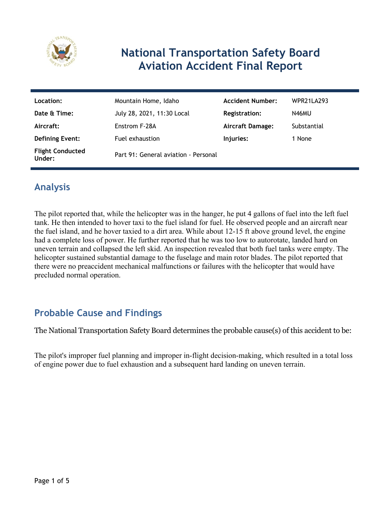

# **National Transportation Safety Board Aviation Accident Final Report**

| Location:                         | Mountain Home, Idaho                 | <b>Accident Number:</b> | <b>WPR21LA293</b> |
|-----------------------------------|--------------------------------------|-------------------------|-------------------|
| Date & Time:                      | July 28, 2021, 11:30 Local           | Registration:           | N46MU             |
| Aircraft:                         | Enstrom F-28A                        | <b>Aircraft Damage:</b> | Substantial       |
| <b>Defining Event:</b>            | Fuel exhaustion                      | Injuries:               | 1 None            |
| <b>Flight Conducted</b><br>Under: | Part 91: General aviation - Personal |                         |                   |

# **Analysis**

The pilot reported that, while the helicopter was in the hanger, he put 4 gallons of fuel into the left fuel tank. He then intended to hover taxi to the fuel island for fuel. He observed people and an aircraft near the fuel island, and he hover taxied to a dirt area. While about 12-15 ft above ground level, the engine had a complete loss of power. He further reported that he was too low to autorotate, landed hard on uneven terrain and collapsed the left skid. An inspection revealed that both fuel tanks were empty. The helicopter sustained substantial damage to the fuselage and main rotor blades. The pilot reported that there were no preaccident mechanical malfunctions or failures with the helicopter that would have precluded normal operation.

## **Probable Cause and Findings**

The National Transportation Safety Board determines the probable cause(s) of this accident to be:

The pilot's improper fuel planning and improper in-flight decision-making, which resulted in a total loss of engine power due to fuel exhaustion and a subsequent hard landing on uneven terrain.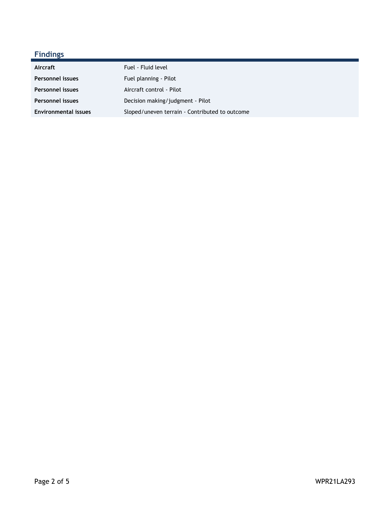## **Findings**

| Aircraft                    | Fuel - Fluid level                             |
|-----------------------------|------------------------------------------------|
| <b>Personnel issues</b>     | Fuel planning - Pilot                          |
| <b>Personnel issues</b>     | Aircraft control - Pilot                       |
| <b>Personnel issues</b>     | Decision making/judgment - Pilot               |
| <b>Environmental issues</b> | Sloped/uneven terrain - Contributed to outcome |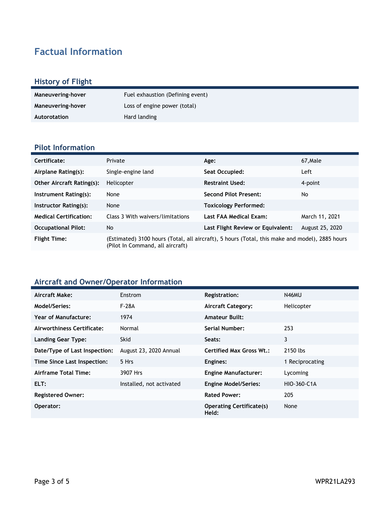# **Factual Information**

#### **History of Flight**

| Maneuvering-hover | Fuel exhaustion (Defining event) |
|-------------------|----------------------------------|
| Maneuvering-hover | Loss of engine power (total)     |
| Autorotation      | Hard landing                     |

#### **Pilot Information**

| Certificate:                     | Private                                                                                                                            | Age:                              | 67, Male        |
|----------------------------------|------------------------------------------------------------------------------------------------------------------------------------|-----------------------------------|-----------------|
| Airplane Rating(s):              | Single-engine land                                                                                                                 | Seat Occupied:                    | Left            |
| <b>Other Aircraft Rating(s):</b> | Helicopter                                                                                                                         | <b>Restraint Used:</b>            | 4-point         |
| Instrument Rating(s):            | None                                                                                                                               | <b>Second Pilot Present:</b>      | No.             |
| Instructor Rating(s):            | None                                                                                                                               | <b>Toxicology Performed:</b>      |                 |
| <b>Medical Certification:</b>    | Class 3 With waivers/limitations                                                                                                   | Last FAA Medical Exam:            | March 11, 2021  |
| <b>Occupational Pilot:</b>       | No                                                                                                                                 | Last Flight Review or Equivalent: | August 25, 2020 |
| <b>Flight Time:</b>              | (Estimated) 3100 hours (Total, all aircraft), 5 hours (Total, this make and model), 2885 hours<br>(Pilot In Command, all aircraft) |                                   |                 |

### **Aircraft and Owner/Operator Information**

| Aircraft Make:                | <b>Enstrom</b>           | <b>Registration:</b>                     | N46MU           |
|-------------------------------|--------------------------|------------------------------------------|-----------------|
| Model/Series:                 | F-28A                    | <b>Aircraft Category:</b>                | Helicopter      |
| Year of Manufacture:          | 1974                     | <b>Amateur Built:</b>                    |                 |
| Airworthiness Certificate:    | Normal                   | Serial Number:                           | 253             |
| <b>Landing Gear Type:</b>     | <b>Skid</b>              | Seats:                                   | 3               |
| Date/Type of Last Inspection: | August 23, 2020 Annual   | <b>Certified Max Gross Wt.:</b>          | 2150 lbs        |
| Time Since Last Inspection:   | 5 Hrs                    | Engines:                                 | 1 Reciprocating |
| Airframe Total Time:          | 3907 Hrs                 | <b>Engine Manufacturer:</b>              | Lycoming        |
| ELT:                          | Installed, not activated | <b>Engine Model/Series:</b>              | HIO-360-C1A     |
| <b>Registered Owner:</b>      |                          | <b>Rated Power:</b>                      | 205             |
| Operator:                     |                          | <b>Operating Certificate(s)</b><br>Held: | None            |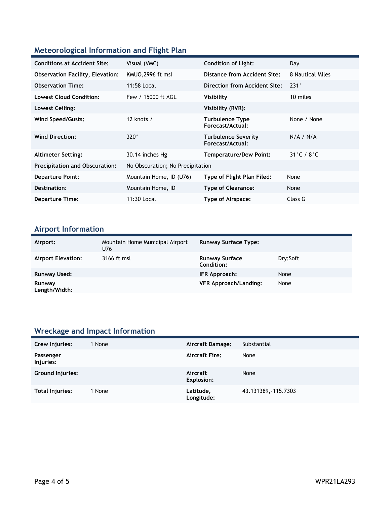### **Meteorological Information and Flight Plan**

| <b>Conditions at Accident Site:</b>     | Visual (VMC)                     | <b>Condition of Light:</b>                     | Day                        |
|-----------------------------------------|----------------------------------|------------------------------------------------|----------------------------|
| <b>Observation Facility, Elevation:</b> | KMUO, 2996 ft msl                | Distance from Accident Site:                   | 8 Nautical Miles           |
| <b>Observation Time:</b>                | 11:58 Local                      | Direction from Accident Site:                  | $231^\circ$                |
| <b>Lowest Cloud Condition:</b>          | Few / 15000 ft AGL               | Visibility                                     | 10 miles                   |
| Lowest Ceiling:                         |                                  | Visibility (RVR):                              |                            |
| Wind Speed/Gusts:                       | 12 knots $/$                     | <b>Turbulence Type</b><br>Forecast/Actual:     | None / None                |
| <b>Wind Direction:</b>                  | $320^\circ$                      | <b>Turbulence Severity</b><br>Forecast/Actual: | N/A / N/A                  |
| <b>Altimeter Setting:</b>               | 30.14 inches Hg                  | <b>Temperature/Dew Point:</b>                  | $31^\circ$ C / $8^\circ$ C |
| <b>Precipitation and Obscuration:</b>   | No Obscuration; No Precipitation |                                                |                            |
| <b>Departure Point:</b>                 | Mountain Home, ID (U76)          | Type of Flight Plan Filed:                     | None                       |
| Destination:                            | Mountain Home, ID                | <b>Type of Clearance:</b>                      | None                       |
| <b>Departure Time:</b>                  | 11:30 Local                      | Type of Airspace:                              | Class G                    |

## **Airport Information**

| Airport:                  | Mountain Home Municipal Airport<br>U76 | <b>Runway Surface Type:</b>                |          |
|---------------------------|----------------------------------------|--------------------------------------------|----------|
| <b>Airport Elevation:</b> | 3166 ft msl                            | <b>Runway Surface</b><br><b>Condition:</b> | Dry:Soft |
| Runway Used:              |                                        | IFR Approach:                              | None     |
| Runway<br>Length/Width:   |                                        | <b>VFR Approach/Landing:</b>               | None     |

### **Wreckage and Impact Information**

| Crew Injuries:         | 1 None | Aircraft Damage:        | Substantial          |
|------------------------|--------|-------------------------|----------------------|
| Passenger<br>Injuries: |        | <b>Aircraft Fire:</b>   | None                 |
| Ground Injuries:       |        | Aircraft<br>Explosion:  | None                 |
| Total Injuries:        | 1 None | Latitude,<br>Longitude: | 43.131389, -115.7303 |